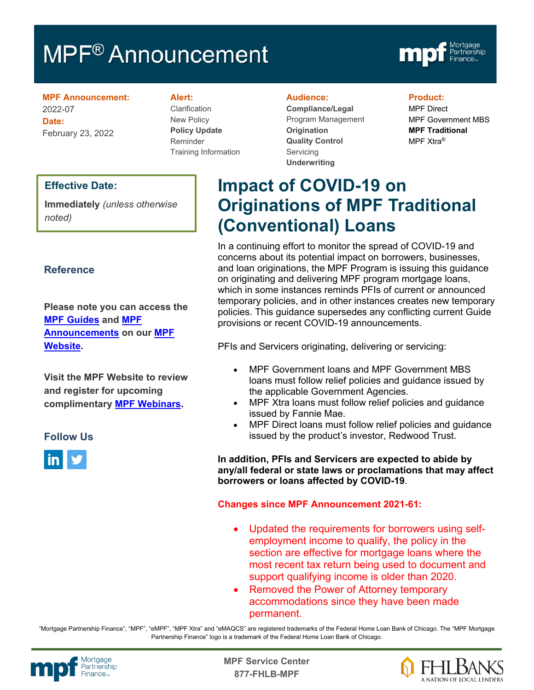# MPF<sup>®</sup> Announcement



**MPF Announcement:** 2022-07 **Date:** February 23, 2022

#### **Alert:**

Clarification New Policy **Policy Update** Reminder Training Information

#### **Audience:**

**Compliance/Legal** Program Management **Origination Quality Control Servicing Underwriting**

#### **Product:**

MPF Direct MPF Government MBS **MPF Traditional** MPF Xtra®

## **Effective Date:**

**Immediately** *(unless otherwise noted)*

## **Reference**

**Please note you can access the [MPF Guides](https://fhlbmpf.com/mpf-guides/guides) and [MPF](https://fhlbmpf.com/mpf-guides/announcements)  [Announcements](https://fhlbmpf.com/mpf-guides/announcements) on our [MPF](https://fhlbmpf.com/)  [Website.](https://fhlbmpf.com/)** 

**Visit the MPF Website to review and register for upcoming complimentary [MPF Webinars.](https://www.fhlbmpf.com/education/upcoming-webinars)**

### **Follow Us**



**Impact of COVID-19 on Originations of MPF Traditional (Conventional) Loans**

In a continuing effort to monitor the spread of COVID-19 and concerns about its potential impact on borrowers, businesses, and loan originations, the MPF Program is issuing this guidance on originating and delivering MPF program mortgage loans, which in some instances reminds PFIs of current or announced temporary policies, and in other instances creates new temporary policies. This guidance supersedes any conflicting current Guide provisions or recent COVID-19 announcements.

PFIs and Servicers originating, delivering or servicing:

- MPF Government loans and MPF Government MBS loans must follow relief policies and guidance issued by the applicable Government Agencies.
- MPF Xtra loans must follow relief policies and guidance issued by Fannie Mae.
- MPF Direct loans must follow relief policies and guidance issued by the product's investor, Redwood Trust.

**In addition, PFIs and Servicers are expected to abide by any/all federal or state laws or proclamations that may affect borrowers or loans affected by COVID-19**.

#### **Changes since MPF Announcement 2021-61:**

- Updated the requirements for borrowers using selfemployment income to qualify, the policy in the section are effective for mortgage loans where the most recent tax return being used to document and support qualifying income is older than 2020.
- Removed the Power of Attorney temporary accommodations since they have been made permanent.

"Mortgage Partnership Finance", "MPF", "eMPF", "MPF Xtra" and "eMAQCS" are registered trademarks of the Federal Home Loan Bank of Chicago. The "MPF Mortgage Partnership Finance" logo is a trademark of the Federal Home Loan Bank of Chicago.



Mortgage<br>Partnership **Canadian State Service Center**<br>Partnership **877-FHLB-MPF**

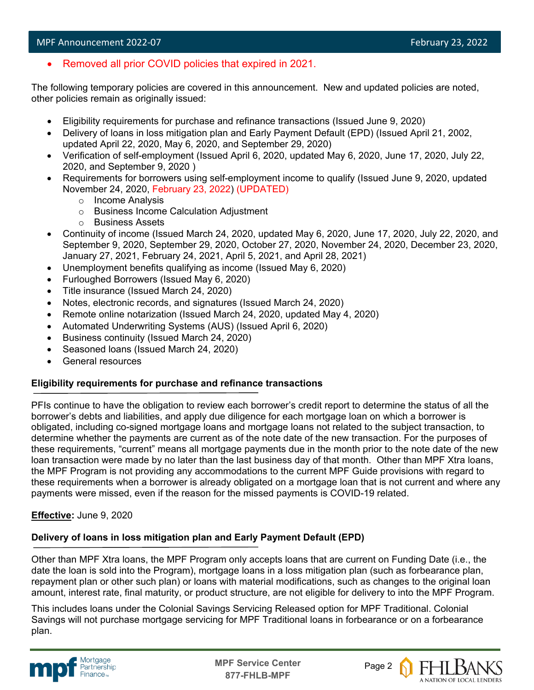• Removed all prior COVID policies that expired in 2021.

The following temporary policies are covered in this announcement. New and updated policies are noted, other policies remain as originally issued:

- Eligibility requirements for purchase and refinance transactions (Issued June 9, 2020)
- Delivery of loans in loss mitigation plan and Early Payment Default (EPD) (Issued April 21, 2002, updated April 22, 2020, May 6, 2020, and September 29, 2020)
- Verification of self-employment (Issued April 6, 2020, updated May 6, 2020, June 17, 2020, July 22, 2020, and September 9, 2020 )
- Requirements for borrowers using self-employment income to qualify (Issued June 9, 2020, updated November 24, 2020, February 23, 2022) (UPDATED)
	- o Income Analysis
	- o Business Income Calculation Adjustment
	- o Business Assets
- Continuity of income (Issued March 24, 2020, updated May 6, 2020, June 17, 2020, July 22, 2020, and September 9, 2020, September 29, 2020, October 27, 2020, November 24, 2020, December 23, 2020, January 27, 2021, February 24, 2021, April 5, 2021, and April 28, 2021)
- Unemployment benefits qualifying as income (Issued May 6, 2020)
- Furloughed Borrowers (Issued May 6, 2020)
- Title insurance (Issued March 24, 2020)
- Notes, electronic records, and signatures (Issued March 24, 2020)
- Remote online notarization (Issued March 24, 2020, updated May 4, 2020)
- Automated Underwriting Systems (AUS) (Issued April 6, 2020)
- Business continuity (Issued March 24, 2020)
- Seasoned loans (Issued March 24, 2020)
- General resources

### **Eligibility requirements for purchase and refinance transactions**

PFIs continue to have the obligation to review each borrower's credit report to determine the status of all the borrower's debts and liabilities, and apply due diligence for each mortgage loan on which a borrower is obligated, including co-signed mortgage loans and mortgage loans not related to the subject transaction, to determine whether the payments are current as of the note date of the new transaction. For the purposes of these requirements, "current" means all mortgage payments due in the month prior to the note date of the new loan transaction were made by no later than the last business day of that month. Other than MPF Xtra loans, the MPF Program is not providing any accommodations to the current MPF Guide provisions with regard to these requirements when a borrower is already obligated on a mortgage loan that is not current and where any payments were missed, even if the reason for the missed payments is COVID-19 related.

### **Effective:** June 9, 2020

### **Delivery of loans in loss mitigation plan and Early Payment Default (EPD)**

Other than MPF Xtra loans, the MPF Program only accepts loans that are current on Funding Date (i.e., the date the loan is sold into the Program), mortgage loans in a loss mitigation plan (such as forbearance plan, repayment plan or other such plan) or loans with material modifications, such as changes to the original loan amount, interest rate, final maturity, or product structure, are not eligible for delivery to into the MPF Program.

This includes loans under the Colonial Savings Servicing Released option for MPF Traditional. Colonial Savings will not purchase mortgage servicing for MPF Traditional loans in forbearance or on a forbearance plan.



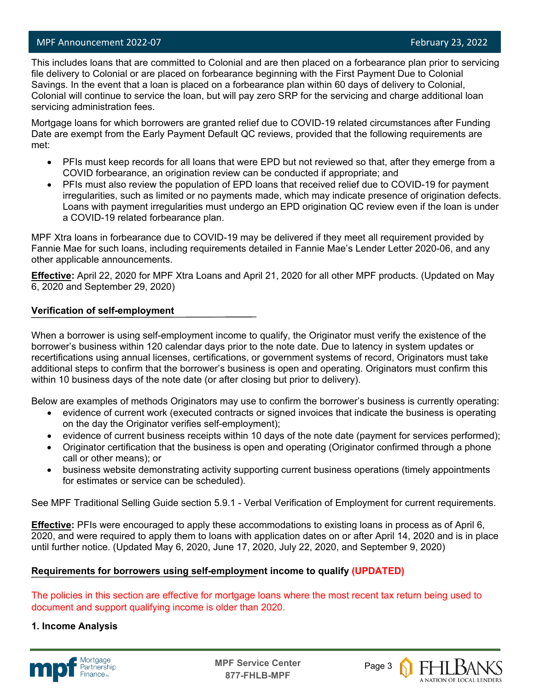## MPF Announcement 2022-07 **February 23, 2022**

This includes loans that are committed to Colonial and are then placed on a forbearance plan prior to servicing file delivery to Colonial or are placed on forbearance beginning with the First Payment Due to Colonial Savings. In the event that a loan is placed on a forbearance plan within 60 days of delivery to Colonial, Colonial will continue to service the loan, but will pay zero SRP for the servicing and charge additional loan servicing administration fees.

Mortgage loans for which borrowers are granted relief due to COVID-19 related circumstances after Funding Date are exempt from the Early Payment Default QC reviews, provided that the following requirements are met:

- PFIs must keep records for all loans that were EPD but not reviewed so that, after they emerge from a COVID forbearance, an origination review can be conducted if appropriate; and
- PFIs must also review the population of EPD loans that received relief due to COVID-19 for payment irregularities, such as limited or no payments made, which may indicate presence of origination defects. Loans with payment irregularities must undergo an EPD origination QC review even if the loan is under a COVID-19 related forbearance plan.

MPF Xtra loans in forbearance due to COVID-19 may be delivered if they meet all requirement provided by Fannie Mae for such loans, including requirements detailed in Fannie Mae's Lender Letter 2020-06, and any other applicable announcements.

**Effective:** April 22, 2020 for MPF Xtra Loans and April 21, 2020 for all other MPF products. (Updated on May 6, 2020 and September 29, 2020)

#### **Verification of self-employment**

When a borrower is using self-employment income to qualify, the Originator must verify the existence of the borrower's business within 120 calendar days prior to the note date. Due to latency in system updates or recertifications using annual licenses, certifications, or government systems of record, Originators must take additional steps to confirm that the borrower's business is open and operating. Originators must confirm this within 10 business days of the note date (or after closing but prior to delivery).

Below are examples of methods Originators may use to confirm the borrower's business is currently operating:

- evidence of current work (executed contracts or signed invoices that indicate the business is operating on the day the Originator verifies self-employment);
- evidence of current business receipts within 10 days of the note date (payment for services performed);
- Originator certification that the business is open and operating (Originator confirmed through a phone call or other means); or
- business website demonstrating activity supporting current business operations (timely appointments for estimates or service can be scheduled).

See MPF Traditional Selling Guide section 5.9.1 - Verbal Verification of Employment for current requirements.

**Effective:** PFIs were encouraged to apply these accommodations to existing loans in process as of April 6, 2020, and were required to apply them to loans with application dates on or after April 14, 2020 and is in place until further notice. (Updated May 6, 2020, June 17, 2020, July 22, 2020, and September 9, 2020)

### **Requirements for borrowers using self-employment income to qualify (UPDATED)**

The policies in this section are effective for mortgage loans where the most recent tax return being used to document and support qualifying income is older than 2020.

### **1. Income Analysis**



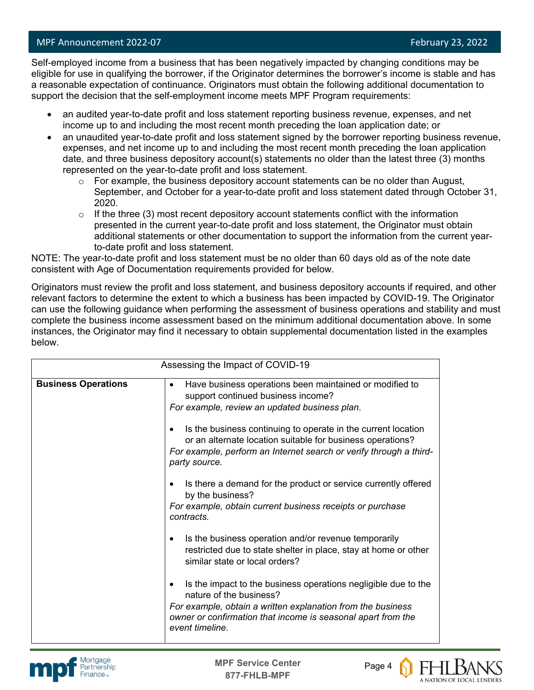## MPF Announcement 2022-07 **February 23, 2022**

Self-employed income from a business that has been negatively impacted by changing conditions may be eligible for use in qualifying the borrower, if the Originator determines the borrower's income is stable and has a reasonable expectation of continuance. Originators must obtain the following additional documentation to support the decision that the self-employment income meets MPF Program requirements:

- an audited year-to-date profit and loss statement reporting business revenue, expenses, and net income up to and including the most recent month preceding the loan application date; or
- an unaudited year-to-date profit and loss statement signed by the borrower reporting business revenue, expenses, and net income up to and including the most recent month preceding the loan application date, and three business depository account(s) statements no older than the latest three (3) months represented on the year-to-date profit and loss statement.
	- $\circ$  For example, the business depository account statements can be no older than August, September, and October for a year-to-date profit and loss statement dated through October 31, 2020.
	- $\circ$  If the three (3) most recent depository account statements conflict with the information presented in the current year-to-date profit and loss statement, the Originator must obtain additional statements or other documentation to support the information from the current yearto-date profit and loss statement.

NOTE: The year-to-date profit and loss statement must be no older than 60 days old as of the note date consistent with Age of Documentation requirements provided for below.

Originators must review the profit and loss statement, and business depository accounts if required, and other relevant factors to determine the extent to which a business has been impacted by COVID-19. The Originator can use the following guidance when performing the assessment of business operations and stability and must complete the business income assessment based on the minimum additional documentation above. In some instances, the Originator may find it necessary to obtain supplemental documentation listed in the examples below.

| Assessing the Impact of COVID-19 |                                                                                                                                                                                                                                                  |  |  |
|----------------------------------|--------------------------------------------------------------------------------------------------------------------------------------------------------------------------------------------------------------------------------------------------|--|--|
| <b>Business Operations</b>       | Have business operations been maintained or modified to<br>٠<br>support continued business income?<br>For example, review an updated business plan.                                                                                              |  |  |
|                                  | Is the business continuing to operate in the current location<br>$\bullet$<br>or an alternate location suitable for business operations?<br>For example, perform an Internet search or verify through a third-<br>party source.                  |  |  |
|                                  | Is there a demand for the product or service currently offered<br>٠<br>by the business?<br>For example, obtain current business receipts or purchase<br>contracts.                                                                               |  |  |
|                                  | Is the business operation and/or revenue temporarily<br>٠<br>restricted due to state shelter in place, stay at home or other<br>similar state or local orders?                                                                                   |  |  |
|                                  | Is the impact to the business operations negligible due to the<br>٠<br>nature of the business?<br>For example, obtain a written explanation from the business<br>owner or confirmation that income is seasonal apart from the<br>event timeline. |  |  |





A NATION OF LOCAL LENDERS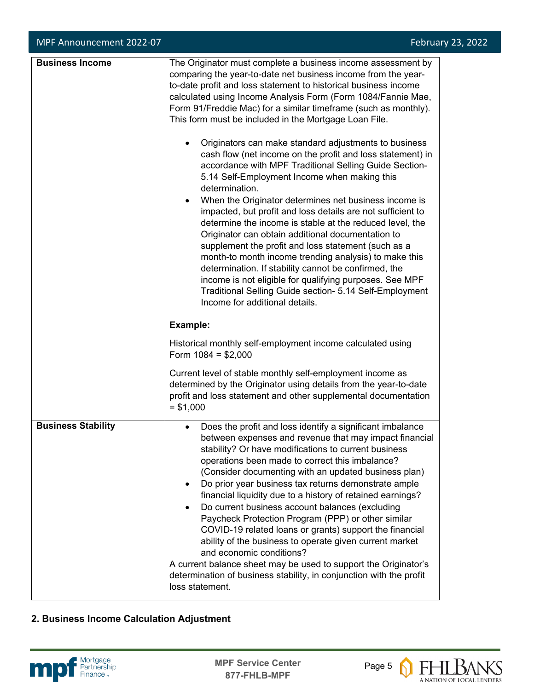| <b>Business Income</b>    | The Originator must complete a business income assessment by<br>comparing the year-to-date net business income from the year-<br>to-date profit and loss statement to historical business income<br>calculated using Income Analysis Form (Form 1084/Fannie Mae,<br>Form 91/Freddie Mac) for a similar timeframe (such as monthly).<br>This form must be included in the Mortgage Loan File.<br>Originators can make standard adjustments to business<br>cash flow (net income on the profit and loss statement) in<br>accordance with MPF Traditional Selling Guide Section-<br>5.14 Self-Employment Income when making this<br>determination.<br>When the Originator determines net business income is<br>$\bullet$<br>impacted, but profit and loss details are not sufficient to<br>determine the income is stable at the reduced level, the<br>Originator can obtain additional documentation to<br>supplement the profit and loss statement (such as a<br>month-to month income trending analysis) to make this<br>determination. If stability cannot be confirmed, the<br>income is not eligible for qualifying purposes. See MPF<br>Traditional Selling Guide section- 5.14 Self-Employment<br>Income for additional details. |  |
|---------------------------|---------------------------------------------------------------------------------------------------------------------------------------------------------------------------------------------------------------------------------------------------------------------------------------------------------------------------------------------------------------------------------------------------------------------------------------------------------------------------------------------------------------------------------------------------------------------------------------------------------------------------------------------------------------------------------------------------------------------------------------------------------------------------------------------------------------------------------------------------------------------------------------------------------------------------------------------------------------------------------------------------------------------------------------------------------------------------------------------------------------------------------------------------------------------------------------------------------------------------------------|--|
|                           | Example:                                                                                                                                                                                                                                                                                                                                                                                                                                                                                                                                                                                                                                                                                                                                                                                                                                                                                                                                                                                                                                                                                                                                                                                                                              |  |
|                           | Historical monthly self-employment income calculated using<br>Form $1084 = $2,000$                                                                                                                                                                                                                                                                                                                                                                                                                                                                                                                                                                                                                                                                                                                                                                                                                                                                                                                                                                                                                                                                                                                                                    |  |
|                           | Current level of stable monthly self-employment income as<br>determined by the Originator using details from the year-to-date<br>profit and loss statement and other supplemental documentation<br>$= $1,000$                                                                                                                                                                                                                                                                                                                                                                                                                                                                                                                                                                                                                                                                                                                                                                                                                                                                                                                                                                                                                         |  |
| <b>Business Stability</b> | Does the profit and loss identify a significant imbalance<br>$\bullet$<br>between expenses and revenue that may impact financial<br>stability? Or have modifications to current business<br>operations been made to correct this imbalance?<br>(Consider documenting with an updated business plan)<br>Do prior year business tax returns demonstrate ample<br>$\bullet$<br>financial liquidity due to a history of retained earnings?<br>Do current business account balances (excluding<br>Paycheck Protection Program (PPP) or other similar<br>COVID-19 related loans or grants) support the financial<br>ability of the business to operate given current market<br>and economic conditions?<br>A current balance sheet may be used to support the Originator's<br>determination of business stability, in conjunction with the profit<br>loss statement.                                                                                                                                                                                                                                                                                                                                                                        |  |

## **2. Business Income Calculation Adjustment**





**FHLBANS**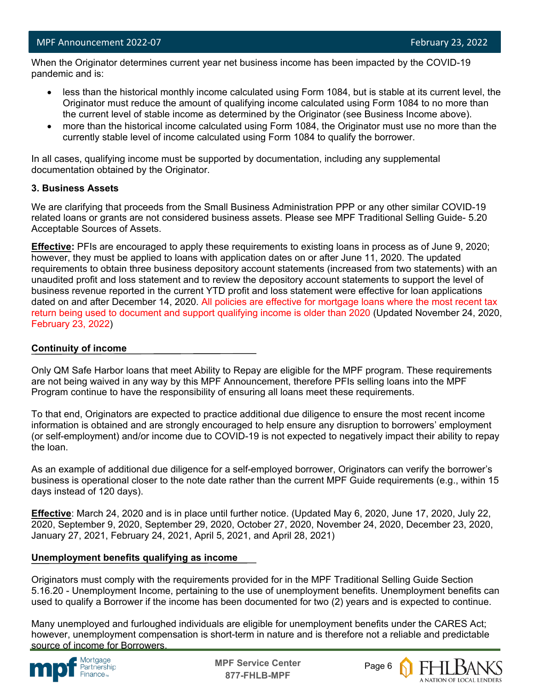When the Originator determines current year net business income has been impacted by the COVID-19 pandemic and is:

- less than the historical monthly income calculated using Form 1084, but is stable at its current level, the Originator must reduce the amount of qualifying income calculated using Form 1084 to no more than the current level of stable income as determined by the Originator (see Business Income above).
- more than the historical income calculated using Form 1084, the Originator must use no more than the currently stable level of income calculated using Form 1084 to qualify the borrower.

In all cases, qualifying income must be supported by documentation, including any supplemental documentation obtained by the Originator.

### **3. Business Assets**

We are clarifying that proceeds from the Small Business Administration PPP or any other similar COVID-19 related loans or grants are not considered business assets. Please see MPF Traditional Selling Guide- 5.20 Acceptable Sources of Assets.

**Effective:** PFIs are encouraged to apply these requirements to existing loans in process as of June 9, 2020; however, they must be applied to loans with application dates on or after June 11, 2020. The updated requirements to obtain three business depository account statements (increased from two statements) with an unaudited profit and loss statement and to review the depository account statements to support the level of business revenue reported in the current YTD profit and loss statement were effective for loan applications dated on and after December 14, 2020. All policies are effective for mortgage loans where the most recent tax return being used to document and support qualifying income is older than 2020 (Updated November 24, 2020, February 23, 2022)

#### **Continuity of income**

Only QM Safe Harbor loans that meet Ability to Repay are eligible for the MPF program. These requirements are not being waived in any way by this MPF Announcement, therefore PFIs selling loans into the MPF Program continue to have the responsibility of ensuring all loans meet these requirements.

To that end, Originators are expected to practice additional due diligence to ensure the most recent income information is obtained and are strongly encouraged to help ensure any disruption to borrowers' employment (or self-employment) and/or income due to COVID-19 is not expected to negatively impact their ability to repay the loan.

As an example of additional due diligence for a self-employed borrower, Originators can verify the borrower's business is operational closer to the note date rather than the current MPF Guide requirements (e.g., within 15 days instead of 120 days).

**Effective**: March 24, 2020 and is in place until further notice. (Updated May 6, 2020, June 17, 2020, July 22, 2020, September 9, 2020, September 29, 2020, October 27, 2020, November 24, 2020, December 23, 2020, January 27, 2021, February 24, 2021, April 5, 2021, and April 28, 2021)

### **Unemployment benefits qualifying as income**

Originators must comply with the requirements provided for in the MPF Traditional Selling Guide Section 5.16.20 - Unemployment Income, pertaining to the use of unemployment benefits. Unemployment benefits can used to qualify a Borrower if the income has been documented for two (2) years and is expected to continue.

Many unemployed and furloughed individuals are eligible for unemployment benefits under the CARES Act; however, unemployment compensation is short-term in nature and is therefore not a reliable and predictable source of income for Borrowers.



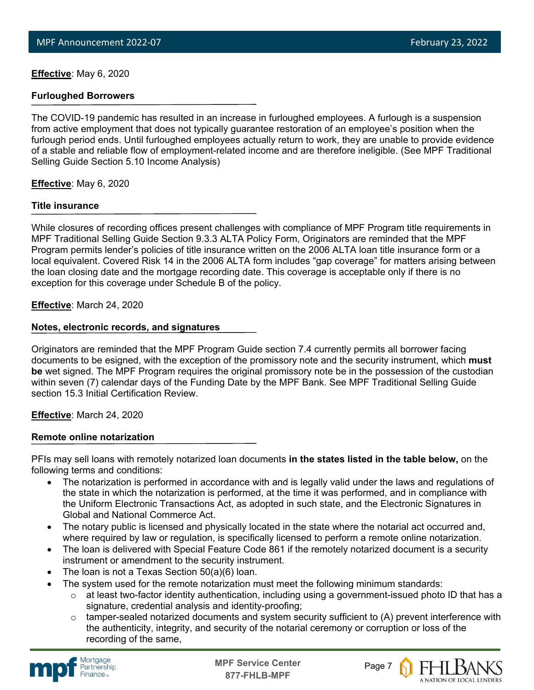**Effective**: May 6, 2020

#### **Furloughed Borrowers**

The COVID-19 pandemic has resulted in an increase in furloughed employees. A furlough is a suspension from active employment that does not typically guarantee restoration of an employee's position when the furlough period ends. Until furloughed employees actually return to work, they are unable to provide evidence of a stable and reliable flow of employment-related income and are therefore ineligible. (See MPF Traditional Selling Guide Section 5.10 Income Analysis)

**Effective**: May 6, 2020

#### **Title insurance**

While closures of recording offices present challenges with compliance of MPF Program title requirements in MPF Traditional Selling Guide Section 9.3.3 ALTA Policy Form, Originators are reminded that the MPF Program permits lender's policies of title insurance written on the 2006 ALTA loan title insurance form or a local equivalent. Covered Risk 14 in the 2006 ALTA form includes "gap coverage" for matters arising between the loan closing date and the mortgage recording date. This coverage is acceptable only if there is no exception for this coverage under Schedule B of the policy.

### **Effective**: March 24, 2020

#### **Notes, electronic records, and signatures**

Originators are reminded that the MPF Program Guide section 7.4 currently permits all borrower facing documents to be esigned, with the exception of the promissory note and the security instrument, which **must be** wet signed. The MPF Program requires the original promissory note be in the possession of the custodian within seven (7) calendar days of the Funding Date by the MPF Bank. See MPF Traditional Selling Guide section 15.3 Initial Certification Review.

### **Effective**: March 24, 2020

#### **Remote online notarization**

PFIs may sell loans with remotely notarized loan documents **in the states listed in the table below,** on the following terms and conditions:

- The notarization is performed in accordance with and is legally valid under the laws and regulations of the state in which the notarization is performed, at the time it was performed, and in compliance with the Uniform Electronic Transactions Act, as adopted in such state, and the Electronic Signatures in Global and National Commerce Act.
- The notary public is licensed and physically located in the state where the notarial act occurred and, where required by law or regulation, is specifically licensed to perform a remote online notarization.
- The loan is delivered with Special Feature Code 861 if the remotely notarized document is a security instrument or amendment to the security instrument.
- The loan is not a Texas Section  $50(a)(6)$  loan.
- The system used for the remote notarization must meet the following minimum standards:
	- $\circ$  at least two-factor identity authentication, including using a government-issued photo ID that has a signature, credential analysis and identity-proofing;
	- $\circ$  tamper-sealed notarized documents and system security sufficient to (A) prevent interference with the authenticity, integrity, and security of the notarial ceremony or corruption or loss of the recording of the same,



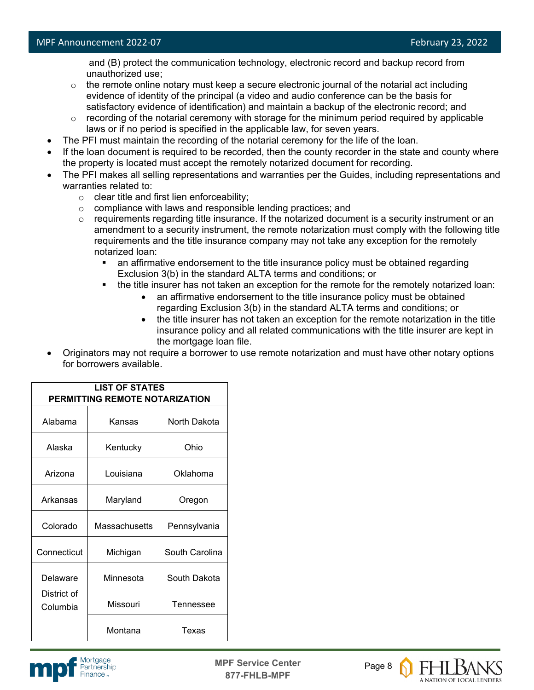and (B) protect the communication technology, electronic record and backup record from unauthorized use;

- $\circ$  the remote online notary must keep a secure electronic journal of the notarial act including evidence of identity of the principal (a video and audio conference can be the basis for satisfactory evidence of identification) and maintain a backup of the electronic record; and
- $\circ$  recording of the notarial ceremony with storage for the minimum period required by applicable laws or if no period is specified in the applicable law, for seven years.
- The PFI must maintain the recording of the notarial ceremony for the life of the loan.
- If the loan document is required to be recorded, then the county recorder in the state and county where the property is located must accept the remotely notarized document for recording.
- The PFI makes all selling representations and warranties per the Guides, including representations and warranties related to:
	- $\circ$  clear title and first lien enforceability;
	- o compliance with laws and responsible lending practices; and
	- $\circ$  requirements regarding title insurance. If the notarized document is a security instrument or an amendment to a security instrument, the remote notarization must comply with the following title requirements and the title insurance company may not take any exception for the remotely notarized loan:
		- an affirmative endorsement to the title insurance policy must be obtained regarding Exclusion 3(b) in the standard ALTA terms and conditions; or
		- the title insurer has not taken an exception for the remote for the remotely notarized loan:
			- an affirmative endorsement to the title insurance policy must be obtained regarding Exclusion 3(b) in the standard ALTA terms and conditions; or
			- the title insurer has not taken an exception for the remote notarization in the title insurance policy and all related communications with the title insurer are kept in the mortgage loan file.
- Originators may not require a borrower to use remote notarization and must have other notary options for borrowers available.

| <b>LIST OF STATES</b><br>PERMITTING REMOTE NOTARIZATION |               |                |  |  |
|---------------------------------------------------------|---------------|----------------|--|--|
| Alabama                                                 | Kansas        | North Dakota   |  |  |
| Alaska                                                  | Kentucky      | Ohio           |  |  |
| Arizona                                                 | Louisiana     | Oklahoma       |  |  |
| Arkansas                                                | Maryland      | Oregon         |  |  |
| Colorado                                                | Massachusetts | Pennsylvania   |  |  |
| Connecticut                                             | Michigan      | South Carolina |  |  |
| Delaware                                                | Minnesota     | South Dakota   |  |  |
| District of<br>Columbia                                 | Missouri      | Tennessee      |  |  |
|                                                         | Montana       | Texas          |  |  |



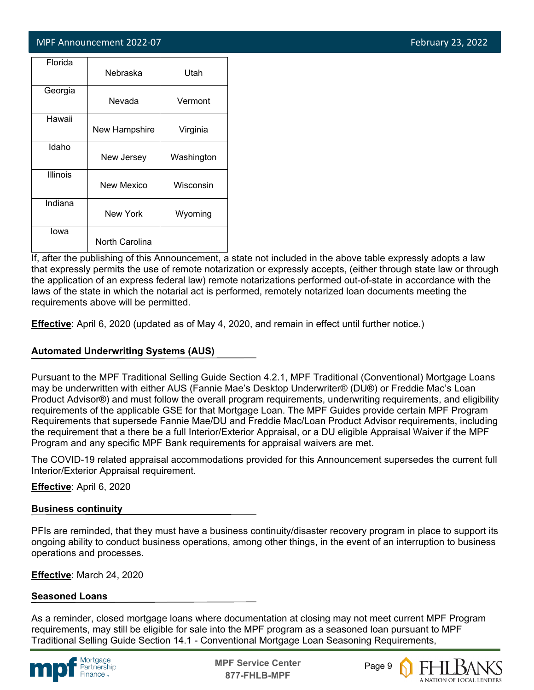## MPF Announcement 2022-07 **February 23, 2022**

| Florida         | Nebraska       | Utah       |
|-----------------|----------------|------------|
| Georgia         | Nevada         | Vermont    |
| Hawaii          | New Hampshire  | Virginia   |
| Idaho           | New Jersey     | Washington |
| <b>Illinois</b> | New Mexico     | Wisconsin  |
| Indiana         | New York       | Wyoming    |
| lowa            | North Carolina |            |

If, after the publishing of this Announcement, a state not included in the above table expressly adopts a law that expressly permits the use of remote notarization or expressly accepts, (either through state law or through the application of an express federal law) remote notarizations performed out-of-state in accordance with the laws of the state in which the notarial act is performed, remotely notarized loan documents meeting the requirements above will be permitted.

**Effective**: April 6, 2020 (updated as of May 4, 2020, and remain in effect until further notice.)

## **Automated Underwriting Systems (AUS)**

Pursuant to the MPF Traditional Selling Guide Section 4.2.1, MPF Traditional (Conventional) Mortgage Loans may be underwritten with either AUS (Fannie Mae's Desktop Underwriter® (DU®) or Freddie Mac's Loan Product Advisor®) and must follow the overall program requirements, underwriting requirements, and eligibility requirements of the applicable GSE for that Mortgage Loan. The MPF Guides provide certain MPF Program Requirements that supersede Fannie Mae/DU and Freddie Mac/Loan Product Advisor requirements, including the requirement that a there be a full Interior/Exterior Appraisal, or a DU eligible Appraisal Waiver if the MPF Program and any specific MPF Bank requirements for appraisal waivers are met.

The COVID-19 related appraisal accommodations provided for this Announcement supersedes the current full Interior/Exterior Appraisal requirement.

### **Effective**: April 6, 2020

### **Business continuity**

PFIs are reminded, that they must have a business continuity/disaster recovery program in place to support its ongoing ability to conduct business operations, among other things, in the event of an interruption to business operations and processes.

**Effective**: March 24, 2020

### **Seasoned Loans**

As a reminder, closed mortgage loans where documentation at closing may not meet current MPF Program requirements, may still be eligible for sale into the MPF program as a seasoned loan pursuant to MPF Traditional Selling Guide Section 14.1 - Conventional Mortgage Loan Seasoning Requirements,